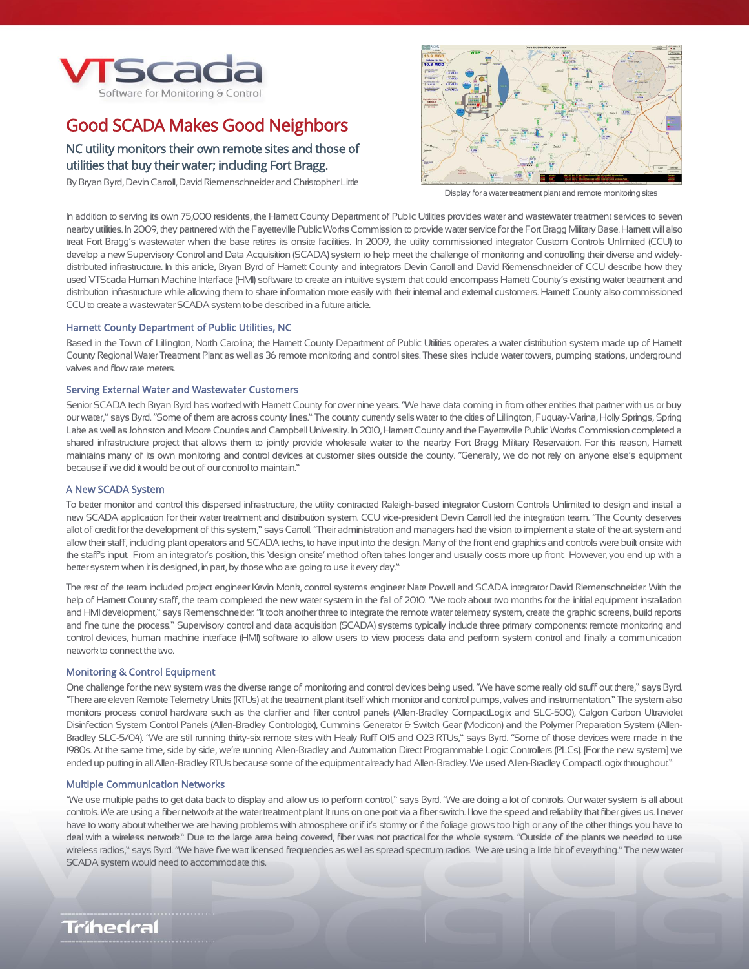

# Good SCADA Makes Good Neighbors

# NC utility monitors their own remote sites and those of utilities that buy their water; including Fort Bragg.

By Bryan Byrd, Devin Carroll, David Riemenschneider and Christopher Little



Display for a water treatment plantand remote monitoring sites

In addition to serving its own 75,000 residents, the Hamett County Department of Public Utilities provides water and wastewater treatment services to seven nearby utilities. In 2009, they partnered with the Fayetteville Public Works Commission to provide water service for the FortBragg Military Base. Harnett will also treat Fort Bragg's wastewater when the base retires its onsite facilities. In 2009, the utility commissioned integrator Custom Controls Unlimited (CCU) to develop a new Supervisory Control and Data Acquisition (SCADA) system to help meet the challenge of monitoring and controlling their diverse and widelydistributed infrastructure. In this article, Bryan Byrd of Harnett County and integrators Devin Carroll and David Riemenschneider of CCU describe how they used VTScada Human Machine Interface (HMI) software to create an intuitive system that could encompass Harnett County's existing water treatment and distribution infrastructure while allowing them to share information more easily with their internal and external customers. Harnett County also commissioned CCU to create a wastewater SCADA system to be described in a future article.

# Harnett County Department of Public Utilities, NC

Based in the Town of Lillington, North Carolina; the Hamett County Department of Public Utilities operates a water distribution system made up of Hamett County Regional Water Treatment Plant as well as 36 remote monitoring and control sites. These sites include water towers, pumping stations, underground valves and flow rate meters.

## Serving External Water and Wastewater Customers

Senior SCADA tech Bryan Byrd has worked with Hamett County for over nine years. "We have data coming in from other entities that partner with us or buy our water," says Byrd. "Some of them are across county lines." The county currently sells water to the cities of Lillington, Fuquay-Varina, Holly Springs, Spring Lake as well as Johnston and Moore Counties and Campbell University. In 2010, Harnett County and the Fayetteville Public Works Commission completed a shared infrastructure project that allows them to jointly provide wholesale water to the nearby Fort Bragg Military Reservation. For this reason, Hamett maintains many of its own monitoring and control devices at customer sites outside the county. "Generally, we do not rely on anyone else's equipment because if we did it would be out of our control to maintain."

#### A New SCADA System

To better monitor and control this dispersed infrastructure, the utility contracted Raleigh-based integrator Custom Controls Unlimited to design and install a new SCADA application for their water treatment and distribution system. CCU vice-president Devin Carroll led the integration team. "The County deserves allot of credit for the development of this system," says Carroll. "Their administration and managers had the vision to implement a state of the art system and allow their staff, including plant operators and SCADA techs, to have input into the design. Many of the front end graphics and controls were built onsite with the staff's input. From an integrator's position, this 'design onsite' method often takes longer and usually costs more up front. However, you end up with a better system when it is designed, in part, by those who are going to use it every day."

The rest of the team included project engineer Kevin Monk, control systems engineer Nate Powell and SCADA integrator David Riemenschneider. With the help of Hamett County staff, the team completed the new water system in the fall of 2010. "We took about two months for the initial equipment installation and HMI development," says Riemenschneider. "It took another three to integrate the remote water telemetry system, create the graphic screens, build reports and fine tune the process." Supervisory control and data acquisition (SCADA) systems typically include three primary components: remote monitoring and control devices, human machine interface (HMI) software to allow users to view process data and perform system control and finally a communication network to connect the two.

#### Monitoring & Control Equipment

One challenge for the new system was the diverse range of monitoring and control devices being used. "We have some really old stuff out there," says Byrd. "There are eleven Remote Telemetry Units (RTUs) at the treatment plant itself which monitor and control pumps, valves and instrumentation." The system also monitors process control hardware such as the clarifier and filter control panels (Allen-Bradley CompactLogix and SLC-500), Calgon Carbon Ultraviolet Disinfection System Control Panels (Allen-Bradley Contrologix), Cummins Generator & Switch Gear (Modicon) and the Polymer Preparation System (Allen-Bradley SLC-5/04). "We are still running thirty-six remote sites with Healy Ruff O15 and O23 RTUs," says Byrd. "Some of those devices were made in the 1980s. At the same time, side by side, we're running Allen-Bradley and Automation Direct Programmable Logic Controllers (PLCs). [For the new system] we ended up putting in all Allen-Bradley RTUs because some of the equipment already had Allen-Bradley. We used Allen-Bradley CompactLogix throughout."

#### Multiple Communication Networks

"We use multiple paths to get data back to display and allow us to perform control," says Byrd. "We are doing a lot of controls. Our water system is all about controls. We are using a fiber network at the water treatment plant. It runs on one port via a fiber switch. I love the speed and reliability that fiber gives us. I never have to worry about whether we are having problems with atmosphere or if it's stormy or if the foliage grows too high or any of the other things you have to deal with a wireless network." Due to the large area being covered, fiber was not practical for the whole system. "Outside of the plants we needed to use wireless radios," says Byrd. "We have five watt licensed frequencies as well as spread spectrum radios. We are using a little bit of everything." The new water SCADA system would need to accommodate this.

# Trihedral